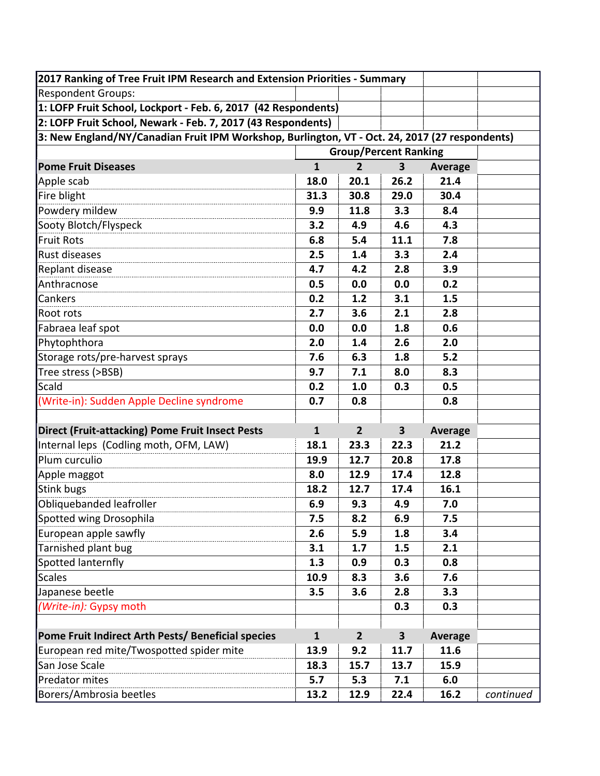| 2017 Ranking of Tree Fruit IPM Research and Extension Priorities - Summary                     |              |                |                         |                |           |
|------------------------------------------------------------------------------------------------|--------------|----------------|-------------------------|----------------|-----------|
| <b>Respondent Groups:</b>                                                                      |              |                |                         |                |           |
| 1: LOFP Fruit School, Lockport - Feb. 6, 2017 (42 Respondents)                                 |              |                |                         |                |           |
| 2: LOFP Fruit School, Newark - Feb. 7, 2017 (43 Respondents)                                   |              |                |                         |                |           |
| 3: New England/NY/Canadian Fruit IPM Workshop, Burlington, VT - Oct. 24, 2017 (27 respondents) |              |                |                         |                |           |
| <b>Group/Percent Ranking</b>                                                                   |              |                |                         |                |           |
| <b>Pome Fruit Diseases</b>                                                                     | $\mathbf{1}$ | $\overline{2}$ | 3                       | <b>Average</b> |           |
| Apple scab                                                                                     | 18.0         | 20.1           | 26.2                    | 21.4           |           |
| Fire blight                                                                                    | 31.3         | 30.8           | 29.0                    | 30.4           |           |
| Powdery mildew                                                                                 | 9.9          | 11.8           | 3.3                     | 8.4            |           |
| Sooty Blotch/Flyspeck                                                                          | 3.2          | 4.9            | 4.6                     | 4.3            |           |
| <b>Fruit Rots</b>                                                                              | 6.8          | 5.4            | 11.1                    | 7.8            |           |
| Rust diseases                                                                                  | 2.5          | 1.4            | 3.3                     | 2.4            |           |
| Replant disease                                                                                | 4.7          | 4.2            | 2.8                     | 3.9            |           |
| Anthracnose                                                                                    | 0.5          | 0.0            | 0.0                     | 0.2            |           |
| Cankers                                                                                        | 0.2          | 1.2            | 3.1                     | 1.5            |           |
| Root rots                                                                                      | 2.7          | 3.6            | 2.1                     | 2.8            |           |
| Fabraea leaf spot                                                                              | 0.0          | 0.0            | 1.8                     | 0.6            |           |
| Phytophthora                                                                                   | 2.0          | 1.4            | 2.6                     | 2.0            |           |
| Storage rots/pre-harvest sprays                                                                | 7.6          | 6.3            | 1.8                     | $5.2$          |           |
| Tree stress (>BSB)                                                                             | 9.7          | 7.1            | 8.0                     | 8.3            |           |
| Scald                                                                                          | 0.2          | 1.0            | 0.3                     | 0.5            |           |
| (Write-in): Sudden Apple Decline syndrome                                                      | 0.7          | 0.8            |                         | 0.8            |           |
|                                                                                                |              |                |                         |                |           |
| <b>Direct (Fruit-attacking) Pome Fruit Insect Pests</b>                                        | $\mathbf{1}$ | $\overline{2}$ | $\overline{\mathbf{3}}$ | <b>Average</b> |           |
| Internal leps (Codling moth, OFM, LAW)                                                         | 18.1         | 23.3           | 22.3                    | 21.2           |           |
| Plum curculio                                                                                  | 19.9         | 12.7           | 20.8                    | 17.8           |           |
| Apple maggot                                                                                   | 8.0          | 12.9           | 17.4                    | 12.8           |           |
| Stink bugs                                                                                     | 18.2         | 12.7           | 17.4                    | 16.1           |           |
| Obliquebanded leafroller                                                                       | 6.9          | 9.3            | 4.9                     | 7.0            |           |
| Spotted wing Drosophila                                                                        | 7.5          | 8.2            | 6.9                     | 7.5            |           |
| European apple sawfly                                                                          | 2.6          | 5.9            | 1.8                     | 3.4            |           |
| Tarnished plant bug                                                                            | 3.1          | 1.7            | 1.5                     | 2.1            |           |
| Spotted lanternfly                                                                             | 1.3          | 0.9            | 0.3                     | 0.8            |           |
| <b>Scales</b>                                                                                  | 10.9         | 8.3            | 3.6                     | 7.6            |           |
| Japanese beetle                                                                                | 3.5          | 3.6            | 2.8                     | 3.3            |           |
| (Write-in): Gypsy moth                                                                         |              |                | 0.3                     | 0.3            |           |
|                                                                                                |              |                |                         |                |           |
| Pome Fruit Indirect Arth Pests/ Beneficial species                                             | $\mathbf{1}$ | $\overline{2}$ | $\overline{\mathbf{3}}$ | Average        |           |
| European red mite/Twospotted spider mite                                                       | 13.9         | 9.2            | 11.7                    | 11.6           |           |
| San Jose Scale                                                                                 | 18.3         | 15.7           | 13.7                    | 15.9           |           |
| Predator mites                                                                                 | 5.7          | 5.3            | 7.1                     | 6.0            |           |
| Borers/Ambrosia beetles                                                                        | 13.2         | 12.9           | 22.4                    | 16.2           | continued |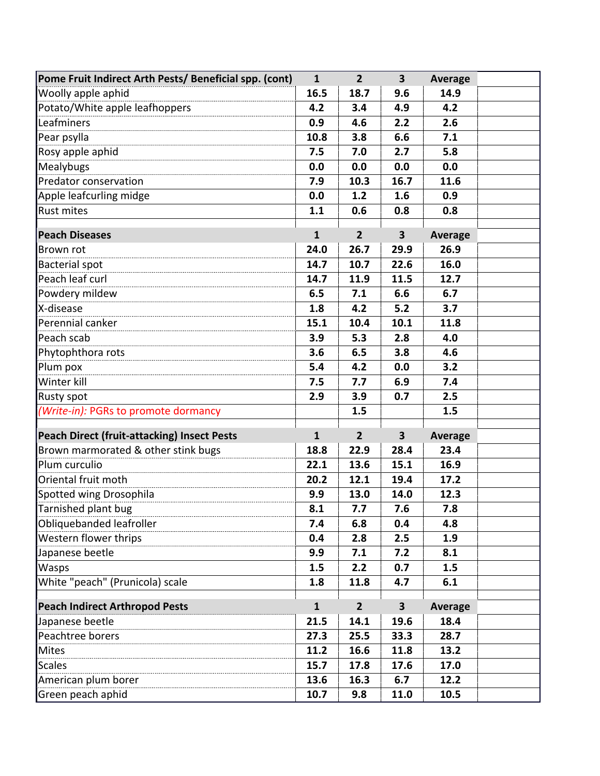| Pome Fruit Indirect Arth Pests/ Beneficial spp. (cont)              | $\mathbf{1}$ | $\overline{2}$ | $\overline{\mathbf{3}}$ | <b>Average</b> |  |
|---------------------------------------------------------------------|--------------|----------------|-------------------------|----------------|--|
| Woolly apple aphid                                                  | 16.5         | 18.7           | 9.6                     | 14.9           |  |
| Potato/White apple leafhoppers                                      | 4.2          | 3.4            | 4.9                     | 4.2            |  |
| Leafminers                                                          | 0.9          | 4.6            | 2.2                     | 2.6            |  |
| Pear psylla                                                         | 10.8         | 3.8            | 6.6                     | 7.1            |  |
| Rosy apple aphid                                                    | 7.5          | 7.0            | 2.7                     | 5.8            |  |
| Mealybugs                                                           | 0.0          | 0.0            | 0.0                     | 0.0            |  |
| Predator conservation                                               | 7.9          | 10.3           | 16.7                    | 11.6           |  |
| Apple leafcurling midge                                             | 0.0          | 1.2            | 1.6                     | 0.9            |  |
| <b>Rust mites</b>                                                   | 1.1          | 0.6            | 0.8                     | 0.8            |  |
| <b>Peach Diseases</b>                                               | $\mathbf{1}$ | $\overline{2}$ | $\overline{\mathbf{3}}$ | <b>Average</b> |  |
| Brown rot                                                           | 24.0         | 26.7           | 29.9                    | 26.9           |  |
| <b>Bacterial spot</b>                                               | 14.7         | 10.7           | 22.6                    | 16.0           |  |
| Peach leaf curl                                                     | 14.7         | 11.9           | 11.5                    | 12.7           |  |
| Powdery mildew                                                      | 6.5          | 7.1            | 6.6                     | 6.7            |  |
| X-disease                                                           | 1.8          | 4.2            | 5.2                     | 3.7            |  |
| Perennial canker                                                    | 15.1         | 10.4           | 10.1                    | 11.8           |  |
| Peach scab                                                          | 3.9          | 5.3            | 2.8                     | 4.0            |  |
| Phytophthora rots                                                   | 3.6          | 6.5            | 3.8                     | 4.6            |  |
| Plum pox                                                            | 5.4          | 4.2            | 0.0                     | 3.2            |  |
| Winter kill                                                         | 7.5          | 7.7            | 6.9                     | 7.4            |  |
| Rusty spot                                                          | 2.9          | 3.9            | 0.7                     | 2.5            |  |
| (Write-in): PGRs to promote dormancy                                |              | 1.5            |                         | 1.5            |  |
|                                                                     |              |                |                         |                |  |
| <b>Peach Direct (fruit-attacking) Insect Pests</b>                  | $\mathbf{1}$ | $\overline{2}$ | $\overline{\mathbf{3}}$ | <b>Average</b> |  |
| Brown marmorated & other stink bugs                                 | 18.8         | 22.9           | 28.4                    | 23.4           |  |
| Plum curculio                                                       | 22.1         | 13.6           | 15.1                    | 16.9           |  |
| Oriental fruit moth                                                 | 20.2         | 12.1           | 19.4                    | 17.2           |  |
| Spotted wing Drosophila                                             | 9.9          | 13.0           | 14.0                    | 12.3           |  |
| Tarnished plant bug<br>the control of the control of the control of | 8.1          | 7.7            | 7.6                     | 7.8            |  |
| Obliquebanded leafroller                                            | 7.4          | 6.8            | 0.4                     | 4.8            |  |
| Western flower thrips                                               | 0.4          | 2.8            | 2.5                     | 1.9            |  |
| Japanese beetle                                                     | 9.9          | 7.1            | 7.2                     | 8.1            |  |
| Wasps                                                               | 1.5          | 2.2            | 0.7                     | 1.5            |  |
| White "peach" (Prunicola) scale                                     | 1.8          | 11.8           | 4.7                     | 6.1            |  |
| <b>Peach Indirect Arthropod Pests</b>                               | $\mathbf{1}$ | 2 <sup>2</sup> | $\overline{\mathbf{3}}$ | <b>Average</b> |  |
| Japanese beetle                                                     | 21.5         | 14.1           | 19.6                    | 18.4           |  |
| Peachtree borers                                                    | 27.3         | 25.5           | 33.3                    | 28.7           |  |
| Mites                                                               | 11.2         | 16.6           | 11.8                    | 13.2           |  |
| <b>Scales</b>                                                       | 15.7         | 17.8           | 17.6                    | 17.0           |  |
| American plum borer                                                 | 13.6         | 16.3           | 6.7                     | 12.2           |  |
| Green peach aphid                                                   | 10.7         | 9.8            | 11.0                    | 10.5           |  |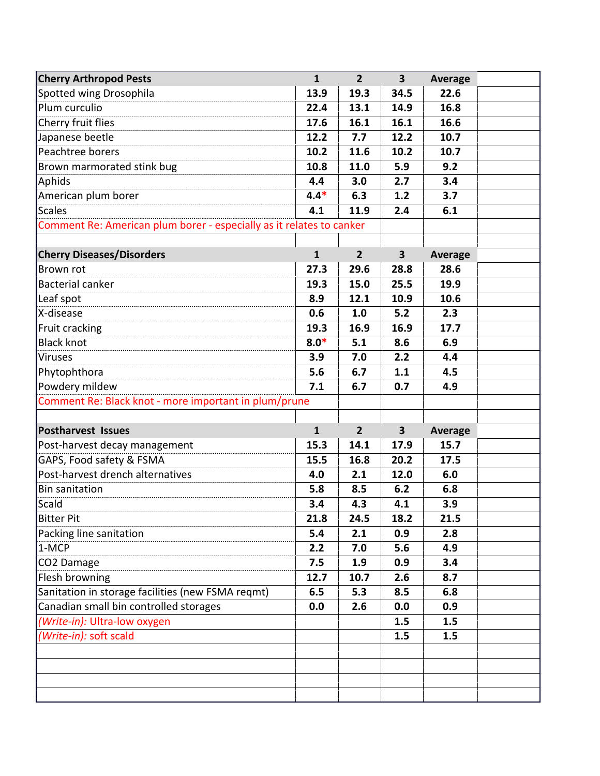| <b>Cherry Arthropod Pests</b>                                        | $\mathbf{1}$ | 2 <sup>2</sup> | $\overline{\mathbf{3}}$ | <b>Average</b> |  |
|----------------------------------------------------------------------|--------------|----------------|-------------------------|----------------|--|
| Spotted wing Drosophila                                              | 13.9         | 19.3           | 34.5                    | 22.6           |  |
| Plum curculio                                                        | 22.4         | 13.1           | 14.9                    | 16.8           |  |
| Cherry fruit flies                                                   | 17.6         | 16.1           | 16.1                    | 16.6           |  |
| Japanese beetle                                                      | 12.2         | 7.7            | 12.2                    | 10.7           |  |
| Peachtree borers                                                     | 10.2         | 11.6           | 10.2                    | 10.7           |  |
| Brown marmorated stink bug                                           | 10.8         | 11.0           | 5.9                     | 9.2            |  |
| Aphids                                                               | 4.4          | 3.0            | 2.7                     | 3.4            |  |
| American plum borer                                                  | $4.4*$       | 6.3            | 1.2                     | 3.7            |  |
| Scales                                                               | 4.1          | 11.9           | 2.4                     | 6.1            |  |
| Comment Re: American plum borer - especially as it relates to canker |              |                |                         |                |  |
|                                                                      |              |                |                         |                |  |
| <b>Cherry Diseases/Disorders</b>                                     | $\mathbf{1}$ | $\overline{2}$ | $\overline{\mathbf{3}}$ | <b>Average</b> |  |
| Brown rot                                                            | 27.3         | 29.6           | 28.8                    | 28.6           |  |
| <b>Bacterial canker</b>                                              | 19.3         | 15.0           | 25.5                    | 19.9           |  |
| Leaf spot                                                            | 8.9          | 12.1           | 10.9                    | 10.6           |  |
| X-disease                                                            | 0.6          | 1.0            | 5.2                     | 2.3            |  |
| Fruit cracking                                                       | 19.3         | 16.9           | 16.9                    | 17.7           |  |
| <b>Black knot</b>                                                    | $8.0*$       | 5.1            | 8.6                     | 6.9            |  |
| <b>Viruses</b>                                                       | 3.9          | 7.0            | 2.2                     | 4.4            |  |
| Phytophthora                                                         | 5.6          | 6.7            | 1.1                     | 4.5            |  |
| Powdery mildew                                                       | 7.1          | 6.7            | 0.7                     | 4.9            |  |
| Comment Re: Black knot - more important in plum/prune                |              |                |                         |                |  |
|                                                                      |              |                |                         |                |  |
| <b>Postharvest Issues</b>                                            | $\mathbf{1}$ | $\overline{2}$ | $\overline{\mathbf{3}}$ | <b>Average</b> |  |
| Post-harvest decay management                                        | 15.3         | 14.1           | 17.9                    | 15.7           |  |
| GAPS, Food safety & FSMA                                             | 15.5         | 16.8           | 20.2                    | 17.5           |  |
| Post-harvest drench alternatives                                     | 4.0          | 2.1            | 12.0                    | 6.0            |  |
| <b>Bin sanitation</b>                                                | 5.8          | 8.5            | 6.2                     | 6.8            |  |
| Scald                                                                | 3.4          | 4.3            | 4.1                     | 3.9            |  |
| <b>Bitter Pit</b>                                                    | 21.8         | 24.5           | 18.2                    | 21.5           |  |
| Packing line sanitation                                              | 5.4          | 2.1            | 0.9                     | 2.8            |  |
| 1-MCP                                                                | 2.2          | 7.0            | 5.6                     | 4.9            |  |
| CO2 Damage                                                           | 7.5          | 1.9            | 0.9                     | 3.4            |  |
| Flesh browning                                                       | 12.7         | 10.7           | 2.6                     | 8.7            |  |
| Sanitation in storage facilities (new FSMA reqmt)                    | 6.5          | 5.3            | 8.5                     | 6.8            |  |
| Canadian small bin controlled storages                               | 0.0          | 2.6            | 0.0                     | 0.9            |  |
| (Write-in): Ultra-low oxygen                                         |              |                | 1.5                     | 1.5            |  |
| (Write-in): soft scald                                               |              |                | 1.5                     | 1.5            |  |
|                                                                      |              |                |                         |                |  |
|                                                                      |              |                |                         |                |  |
|                                                                      |              |                |                         |                |  |
|                                                                      |              |                |                         |                |  |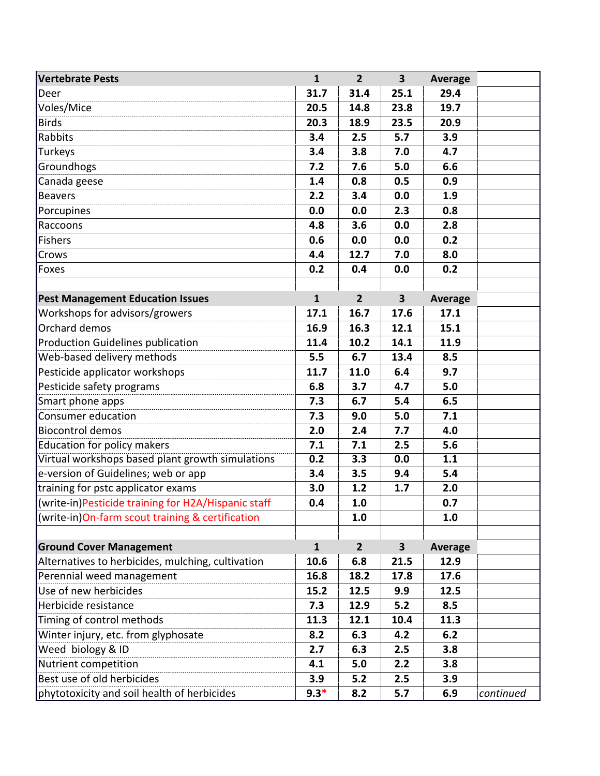| <b>Vertebrate Pests</b>                             | $\mathbf{1}$ | 2 <sup>1</sup> | $\overline{\mathbf{3}}$ | <b>Average</b> |           |
|-----------------------------------------------------|--------------|----------------|-------------------------|----------------|-----------|
| Deer                                                | 31.7         | 31.4           | 25.1                    | 29.4           |           |
| Voles/Mice                                          | 20.5         | 14.8           | 23.8                    | 19.7           |           |
| <b>Birds</b>                                        | 20.3         | 18.9           | 23.5                    | 20.9           |           |
| Rabbits                                             | 3.4          | 2.5            | 5.7                     | 3.9            |           |
| Turkeys                                             | 3.4          | 3.8            | 7.0                     | 4.7            |           |
| Groundhogs                                          | 7.2          | 7.6            | 5.0                     | 6.6            |           |
| Canada geese                                        | 1.4          | 0.8            | 0.5                     | 0.9            |           |
| <b>Beavers</b>                                      | 2.2          | 3.4            | 0.0                     | 1.9            |           |
| Porcupines                                          | 0.0          | 0.0            | 2.3                     | 0.8            |           |
| Raccoons                                            | 4.8          | 3.6            | 0.0                     | 2.8            |           |
| <b>Fishers</b>                                      | 0.6          | 0.0            | 0.0                     | 0.2            |           |
| Crows                                               | 4.4          | 12.7           | 7.0                     | 8.0            |           |
| Foxes                                               | 0.2          | 0.4            | 0.0                     | 0.2            |           |
|                                                     |              |                |                         |                |           |
| <b>Pest Management Education Issues</b>             | $\mathbf{1}$ | $\overline{2}$ | $\overline{\mathbf{3}}$ | <b>Average</b> |           |
| Workshops for advisors/growers                      | 17.1         | 16.7           | 17.6                    | 17.1           |           |
| Orchard demos                                       | 16.9         | 16.3           | 12.1                    | 15.1           |           |
| <b>Production Guidelines publication</b>            | 11.4         | 10.2           | 14.1                    | 11.9           |           |
| Web-based delivery methods                          | 5.5          | 6.7            | 13.4                    | 8.5            |           |
| Pesticide applicator workshops                      | 11.7         | 11.0           | 6.4                     | 9.7            |           |
| Pesticide safety programs                           | 6.8          | 3.7            | 4.7                     | 5.0            |           |
| Smart phone apps                                    | 7.3          | 6.7            | 5.4                     | 6.5            |           |
| Consumer education                                  | 7.3          | 9.0            | 5.0                     | 7.1            |           |
| <b>Biocontrol demos</b>                             | 2.0          | 2.4            | 7.7                     | 4.0            |           |
| Education for policy makers                         | 7.1          | 7.1            | 2.5                     | 5.6            |           |
| Virtual workshops based plant growth simulations    | 0.2          | 3.3            | 0.0                     | 1.1            |           |
| e-version of Guidelines; web or app                 | 3.4          | 3.5            | 9.4                     | 5.4            |           |
| training for pstc applicator exams                  | 3.0          | 1.2            | 1.7                     | 2.0            |           |
| (write-in)Pesticide training for H2A/Hispanic staff | 0.4          | 1.0            |                         | 0.7            |           |
| (write-in)On-farm scout training & certification    |              | 1.0            |                         | 1.0            |           |
|                                                     |              |                |                         |                |           |
| <b>Ground Cover Management</b>                      | $\mathbf{1}$ | $\overline{2}$ | 3                       | Average        |           |
| Alternatives to herbicides, mulching, cultivation   | 10.6         | 6.8            | 21.5                    | 12.9           |           |
| Perennial weed management                           | 16.8         | 18.2           | 17.8                    | 17.6           |           |
| Use of new herbicides                               | 15.2         | 12.5           | 9.9                     | 12.5           |           |
| Herbicide resistance                                | 7.3          | 12.9           | 5.2                     | 8.5            |           |
| Timing of control methods                           | 11.3         | 12.1           | 10.4                    | 11.3           |           |
| Winter injury, etc. from glyphosate                 | 8.2          | 6.3            | 4.2                     | 6.2            |           |
| Weed biology & ID                                   | 2.7          | 6.3            | 2.5                     | 3.8            |           |
| Nutrient competition                                | 4.1          | 5.0            | 2.2                     | 3.8            |           |
| Best use of old herbicides                          | 3.9          | 5.2            | 2.5                     | 3.9            |           |
| phytotoxicity and soil health of herbicides         | $9.3*$       | 8.2            | 5.7                     | 6.9            | continued |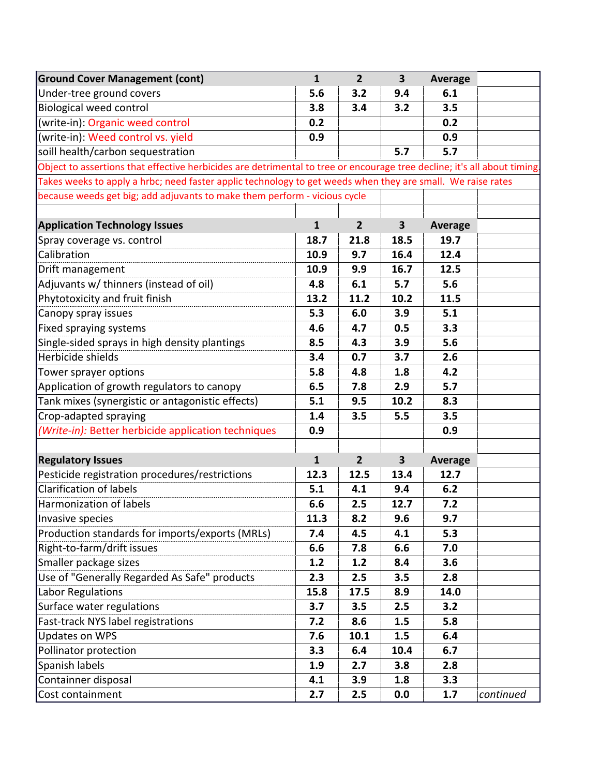| <b>Ground Cover Management (cont)</b>                                                                                    | $\mathbf{1}$ | $\overline{2}$ | $\overline{\mathbf{3}}$ | <b>Average</b> |           |  |
|--------------------------------------------------------------------------------------------------------------------------|--------------|----------------|-------------------------|----------------|-----------|--|
| Under-tree ground covers                                                                                                 | 5.6          | 3.2            | 9.4                     | 6.1            |           |  |
| <b>Biological weed control</b>                                                                                           | 3.8          | 3.4            | 3.2                     | 3.5            |           |  |
| (write-in): Organic weed control                                                                                         | 0.2          |                |                         | 0.2            |           |  |
| (write-in): Weed control vs. yield                                                                                       | 0.9          |                |                         | 0.9            |           |  |
| soill health/carbon sequestration                                                                                        |              |                | 5.7                     | 5.7            |           |  |
| Object to assertions that effective herbicides are detrimental to tree or encourage tree decline; it's all about timing. |              |                |                         |                |           |  |
| Takes weeks to apply a hrbc; need faster applic technology to get weeds when they are small. We raise rates              |              |                |                         |                |           |  |
| because weeds get big; add adjuvants to make them perform - vicious cycle                                                |              |                |                         |                |           |  |
|                                                                                                                          |              |                |                         |                |           |  |
| <b>Application Technology Issues</b>                                                                                     | $\mathbf{1}$ | 2 <sup>2</sup> | $\mathbf{3}$            | <b>Average</b> |           |  |
| Spray coverage vs. control                                                                                               | 18.7         | 21.8           | 18.5                    | 19.7           |           |  |
| Calibration                                                                                                              | 10.9         | 9.7            | 16.4                    | 12.4           |           |  |
| Drift management                                                                                                         | 10.9         | 9.9            | 16.7                    | 12.5           |           |  |
| Adjuvants w/ thinners (instead of oil)                                                                                   | 4.8          | 6.1            | 5.7                     | 5.6            |           |  |
| Phytotoxicity and fruit finish                                                                                           | 13.2         | 11.2           | 10.2                    | 11.5           |           |  |
| Canopy spray issues                                                                                                      | 5.3          | 6.0            | 3.9                     | 5.1            |           |  |
| Fixed spraying systems                                                                                                   | 4.6          | 4.7            | 0.5                     | 3.3            |           |  |
| Single-sided sprays in high density plantings                                                                            | 8.5          | 4.3            | 3.9                     | 5.6            |           |  |
| Herbicide shields                                                                                                        | 3.4          | 0.7            | 3.7                     | 2.6            |           |  |
| Tower sprayer options                                                                                                    | 5.8          | 4.8            | 1.8                     | 4.2            |           |  |
| Application of growth regulators to canopy                                                                               | 6.5          | 7.8            | 2.9                     | 5.7            |           |  |
| Tank mixes (synergistic or antagonistic effects)                                                                         | 5.1          | 9.5            | 10.2                    | 8.3            |           |  |
| Crop-adapted spraying                                                                                                    | 1.4          | 3.5            | 5.5                     | 3.5            |           |  |
| (Write-in): Better herbicide application techniques                                                                      | 0.9          |                |                         | 0.9            |           |  |
|                                                                                                                          |              |                |                         |                |           |  |
| <b>Regulatory Issues</b>                                                                                                 | $\mathbf{1}$ | $\overline{2}$ | $\mathbf{3}$            | <b>Average</b> |           |  |
| Pesticide registration procedures/restrictions                                                                           | 12.3         | 12.5           | 13.4                    | 12.7           |           |  |
| <b>Clarification of labels</b>                                                                                           | 5.1          | 4.1            | 9.4                     | 6.2            |           |  |
| Harmonization of labels                                                                                                  | 6.6          | 2.5            | 12.7                    | 7.2            |           |  |
| Invasive species                                                                                                         | 11.3         | 8.2            | 9.6                     | 9.7            |           |  |
| Production standards for imports/exports (MRLs)                                                                          | 7.4          | 4.5            | 4.1                     | 5.3            |           |  |
| Right-to-farm/drift issues                                                                                               | 6.6          | 7.8            | 6.6                     | 7.0            |           |  |
| Smaller package sizes                                                                                                    | 1.2          | 1.2            | 8.4                     | 3.6            |           |  |
| Use of "Generally Regarded As Safe" products                                                                             | 2.3          | 2.5            | 3.5                     | 2.8            |           |  |
| Labor Regulations                                                                                                        | 15.8         | 17.5           | 8.9                     | 14.0           |           |  |
| Surface water regulations                                                                                                | 3.7          | 3.5            | 2.5                     | 3.2            |           |  |
| Fast-track NYS label registrations                                                                                       | 7.2          | 8.6            | 1.5                     | 5.8            |           |  |
| <b>Updates on WPS</b>                                                                                                    | 7.6          | 10.1           | 1.5                     | 6.4            |           |  |
| Pollinator protection                                                                                                    | 3.3          | 6.4            | 10.4                    | 6.7            |           |  |
| Spanish labels                                                                                                           | 1.9          | 2.7            | 3.8                     | 2.8            |           |  |
| Containner disposal                                                                                                      | 4.1          | 3.9            | 1.8                     | 3.3            |           |  |
| Cost containment                                                                                                         | 2.7          | 2.5            | 0.0                     | 1.7            | continued |  |